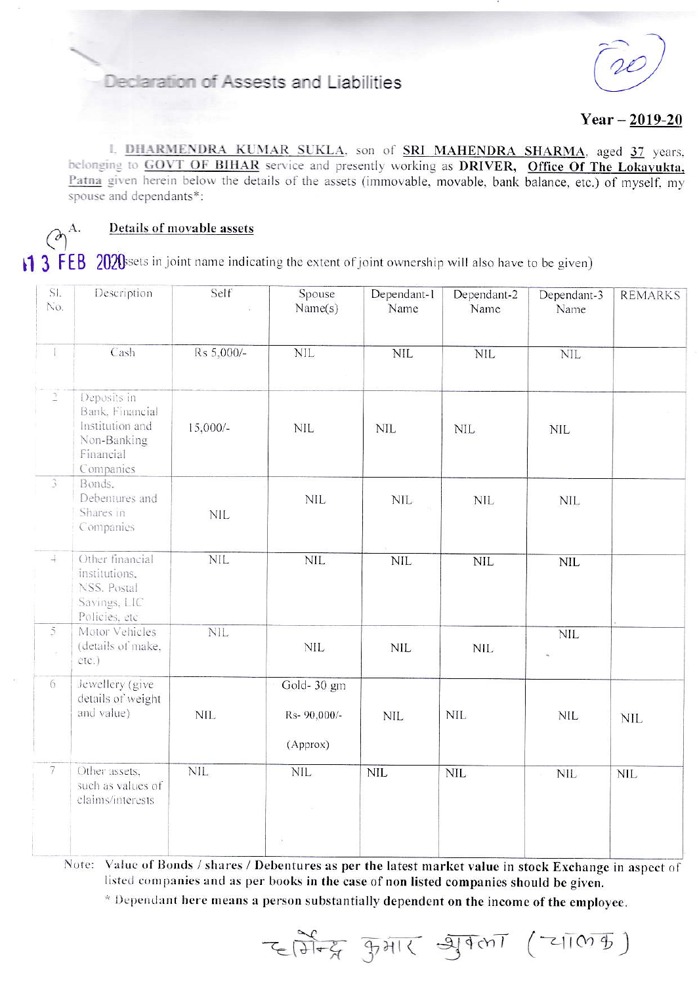# Declaration of Assests and Liabilities

 $Year - 2019 - 20$ 

I. DHARMENDRA KUMAR SUKLA, son of SRI MAHENDRA SHARMA, aged 37 years, belonging to GOVT OF BIHAR service and presently working as DRIVER, Office Of The Lokavukta, Patna given herein below the details of the assets (immovable, movable, bank balance, etc.) of myself, my spouse and dependants\*:

 $\left(\partial\right)^{\mathrm{A.}}$ 

## Details of movable assets

1 3 FEB 2020s ets in joint name indicating the extent of joint ownership will also have to be given)

| SI.<br>No.                      | Description                                                                                | Self       | Spouse<br>Name(s)                      | Dependant-1<br>Name | Dependant-2<br>Name | Dependant-3<br>Name | <b>REMARKS</b> |
|---------------------------------|--------------------------------------------------------------------------------------------|------------|----------------------------------------|---------------------|---------------------|---------------------|----------------|
| T                               | Cash                                                                                       | Rs 5,000/- | $\mbox{NIL}$                           | $\text{NIL}$        | <b>NIL</b>          | $\text{NIL}$        |                |
| $\frac{1}{2}$                   | Deposits in<br>Bank, Financial<br>Institution and<br>Non-Banking<br>Financial<br>Companies | $15,000/-$ | <b>NIL</b>                             | <b>NIL</b>          | <b>NIL</b>          | <b>NIL</b>          |                |
| 3                               | Bonds.<br>Debentures and<br>Shares in<br>Companies                                         | <b>NIL</b> | <b>NIL</b>                             | <b>NIL</b>          | <b>NIL</b>          | <b>NIL</b>          |                |
| $\!+$                           | Other financial<br>institutions,<br>NSS. Postal<br>Savings, LIC<br>Policies, etc           | <b>NIL</b> | <b>NIL</b>                             | <b>NIL</b>          | <b>NIL</b>          | NIL                 |                |
| $\overline{5}$<br>$\frac{1}{2}$ | Motor Vehicles<br>(details of make,<br>etc.)                                               | <b>NIL</b> | <b>NIL</b>                             | <b>NIL</b>          | <b>NIL</b>          | <b>NIL</b>          |                |
| 6                               | Jewellery (give<br>details of weight<br>and value)                                         | <b>NIL</b> | Gold-30 gm<br>Rs- 90,000/-<br>(Approx) | <b>NIL</b>          | <b>NIL</b>          | NIL                 | <b>NIL</b>     |
| $\overline{7}$                  | Other assets,<br>such as values of<br>claims/interests                                     | <b>NIL</b> | <b>NIL</b><br>$\lambda$                | <b>NIL</b>          | <b>NIL</b>          | <b>NIL</b>          | <b>NIL</b>     |

Note: Value of Bonds / shares / Debentures as per the latest market value in stock Exchange in aspect of listed companies and as per books in the case of non listed companies should be given.

\* Dependant here means a person substantially dependent on the income of the employee.

 $E(\overline{\partial L_{\mathcal{A}}})$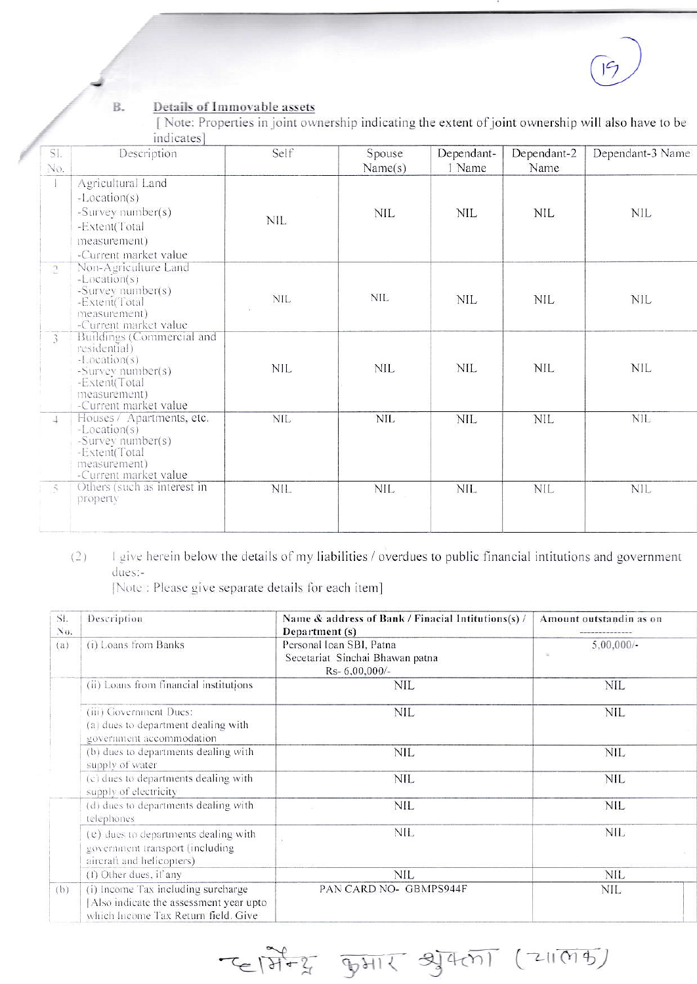#### **B.** Details of Immovable assets

[Note: Properties in joint ownership indicating the extent of joint ownership will also have to be indicates]

| SI.<br>No.     | Description                                                                                                                              | Self       | Spouse<br>Name(s) | Dependant-<br>1 Name | Dependant-2<br>Name | Dependant-3 Name |
|----------------|------------------------------------------------------------------------------------------------------------------------------------------|------------|-------------------|----------------------|---------------------|------------------|
|                | Agricultural Land<br>$-Location(s)$<br>-Survey number(s)<br>-Extent(Total<br>measurement)<br>-Current market value                       | NIL        | <b>NIL</b>        | <b>NIL</b>           | <b>NIL</b>          | <b>NIL</b>       |
| $\overline{C}$ | Non-Agriculture Land<br>$-Location(s)$<br>-Survey number(s)<br>-Extent(Total<br>measurement)<br>-Current market value                    | <b>NIL</b> | <b>NIL</b>        | NIL                  | NIL.                | NIL              |
| $\overline{3}$ | Buildings (Commercial and<br>residential)<br>-Location(s)<br>-Survey number(s)<br>-Extent(Total<br>measurement)<br>-Current market value | nil        | NIL               | <b>NIL</b>           | <b>NIL</b>          | <b>NIL</b>       |
| $\pm$          | Houses / Apartments, etc.<br>$-Location(s)$<br>-Survey number(s)<br>-Extent(Total<br>measurement)<br>-Current market value               | <b>NIL</b> | <b>NIL</b>        | <b>NIL</b>           | <b>NIL</b>          | <b>NIL</b>       |
| $\leq$<br>T    | Others (such as interest in<br>property                                                                                                  | <b>NIL</b> | <b>NIL</b>        | <b>NIL</b>           | <b>NIL</b>          | <b>NIL</b>       |

### I give herein below the details of my liabilities / overdues to public financial intitutions and government  $(2)$ dues:-

[Note : Please give separate details for each item]

| SI.<br>No. | Description                                                                                                         | Name & address of Bank / Finacial Intitutions(s) /<br>Department (s)            | Amount outstandin as on |  |
|------------|---------------------------------------------------------------------------------------------------------------------|---------------------------------------------------------------------------------|-------------------------|--|
| (a)        | (i) Loans from Banks                                                                                                | Personal Ioan SBI, Patna<br>Secetariat Sinchai Bhawan patna<br>Rs- $6.00.000/-$ | $5,00,000/$ -           |  |
|            | (ii) Loans from financial institutions                                                                              | <b>NIL</b>                                                                      | <b>NIL</b>              |  |
|            | (iii) Government Dues:<br>(a) dues to department dealing with<br>government accommodation                           | <b>NIL</b>                                                                      | <b>NIL</b>              |  |
|            | (b) dues to departments dealing with<br>supply of water                                                             | <b>NIL</b>                                                                      | <b>NIL</b>              |  |
|            | (c) dues to departments dealing with<br>supply of electricity                                                       | <b>NIL</b>                                                                      | <b>NIL</b>              |  |
|            | (d) dues to departments dealing with<br>telephones                                                                  | <b>NIL</b>                                                                      | <b>NIL</b>              |  |
|            | (e) dues to departments dealing with<br>government transport (including<br>aircraft and helicopters)                | NIL                                                                             | <b>NIL</b>              |  |
|            | (1) Other dues, if any                                                                                              | NIL                                                                             | NIL                     |  |
| (b)        | (i) Income Tax including surcharge<br>Also indicate the assessment year upto<br>which Income Tax Return field. Give | PAN CARD NO- GBMPS944F                                                          | <b>NIL</b>              |  |

飞西安 如川 马矶 (211(195)